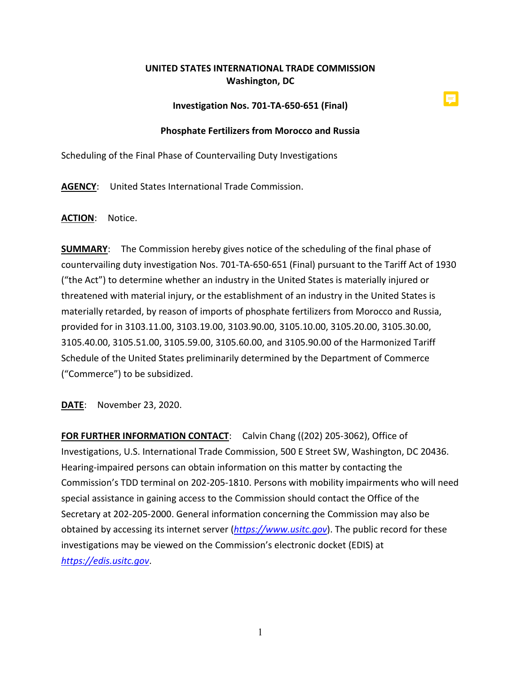## **UNITED STATES INTERNATIONAL TRADE COMMISSION Washington, DC**

## **Investigation Nos. 701-TA-650-651 (Final)**

## **Phosphate Fertilizers from Morocco and Russia**

Scheduling of the Final Phase of Countervailing Duty Investigations

**AGENCY**: United States International Trade Commission.

**ACTION**: Notice.

**SUMMARY**: The Commission hereby gives notice of the scheduling of the final phase of countervailing duty investigation Nos. 701-TA-650-651 (Final) pursuant to the Tariff Act of 1930 ("the Act") to determine whether an industry in the United States is materially injured or threatened with material injury, or the establishment of an industry in the United States is materially retarded, by reason of imports of phosphate fertilizers from Morocco and Russia, provided for in 3103.11.00, 3103.19.00, 3103.90.00, 3105.10.00, 3105.20.00, 3105.30.00, 3105.40.00, 3105.51.00, 3105.59.00, 3105.60.00, and 3105.90.00 of the Harmonized Tariff Schedule of the United States preliminarily determined by the Department of Commerce ("Commerce") to be subsidized.

**DATE**: November 23, 2020.

**FOR FURTHER INFORMATION CONTACT**: Calvin Chang ((202) 205-3062), Office of Investigations, U.S. International Trade Commission, 500 E Street SW, Washington, DC 20436. Hearing-impaired persons can obtain information on this matter by contacting the Commission's TDD terminal on 202-205-1810. Persons with mobility impairments who will need special assistance in gaining access to the Commission should contact the Office of the Secretary at 202-205-2000. General information concerning the Commission may also be obtained by accessing its internet server (*[https://www.usitc.gov](https://www.usitc.gov/)*). The public record for these investigations may be viewed on the Commission's electronic docket (EDIS) at *[https://edis.usitc.gov](https://edis.usitc.gov/)*.

1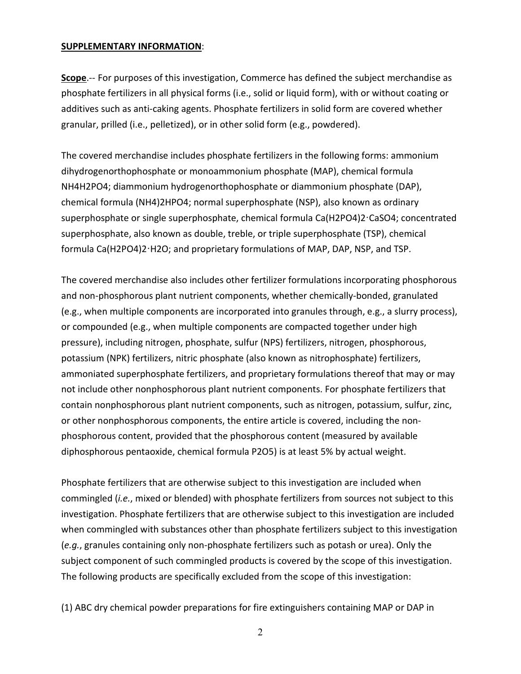## **SUPPLEMENTARY INFORMATION**:

**Scope**.-- For purposes of this investigation, Commerce has defined the subject merchandise as phosphate fertilizers in all physical forms (i.e., solid or liquid form), with or without coating or additives such as anti-caking agents. Phosphate fertilizers in solid form are covered whether granular, prilled (i.e., pelletized), or in other solid form (e.g., powdered).

The covered merchandise includes phosphate fertilizers in the following forms: ammonium dihydrogenorthophosphate or monoammonium phosphate (MAP), chemical formula NH4H2PO4; diammonium hydrogenorthophosphate or diammonium phosphate (DAP), chemical formula (NH4)2HPO4; normal superphosphate (NSP), also known as ordinary superphosphate or single superphosphate, chemical formula Ca(H2PO4)2ꞏCaSO4; concentrated superphosphate, also known as double, treble, or triple superphosphate (TSP), chemical formula Ca(H2PO4)2ꞏH2O; and proprietary formulations of MAP, DAP, NSP, and TSP.

The covered merchandise also includes other fertilizer formulations incorporating phosphorous and non-phosphorous plant nutrient components, whether chemically-bonded, granulated (e.g., when multiple components are incorporated into granules through, e.g., a slurry process), or compounded (e.g., when multiple components are compacted together under high pressure), including nitrogen, phosphate, sulfur (NPS) fertilizers, nitrogen, phosphorous, potassium (NPK) fertilizers, nitric phosphate (also known as nitrophosphate) fertilizers, ammoniated superphosphate fertilizers, and proprietary formulations thereof that may or may not include other nonphosphorous plant nutrient components. For phosphate fertilizers that contain nonphosphorous plant nutrient components, such as nitrogen, potassium, sulfur, zinc, or other nonphosphorous components, the entire article is covered, including the nonphosphorous content, provided that the phosphorous content (measured by available diphosphorous pentaoxide, chemical formula P2O5) is at least 5% by actual weight.

Phosphate fertilizers that are otherwise subject to this investigation are included when commingled (*i.e.*, mixed or blended) with phosphate fertilizers from sources not subject to this investigation. Phosphate fertilizers that are otherwise subject to this investigation are included when commingled with substances other than phosphate fertilizers subject to this investigation (*e.g.*, granules containing only non-phosphate fertilizers such as potash or urea). Only the subject component of such commingled products is covered by the scope of this investigation. The following products are specifically excluded from the scope of this investigation:

(1) ABC dry chemical powder preparations for fire extinguishers containing MAP or DAP in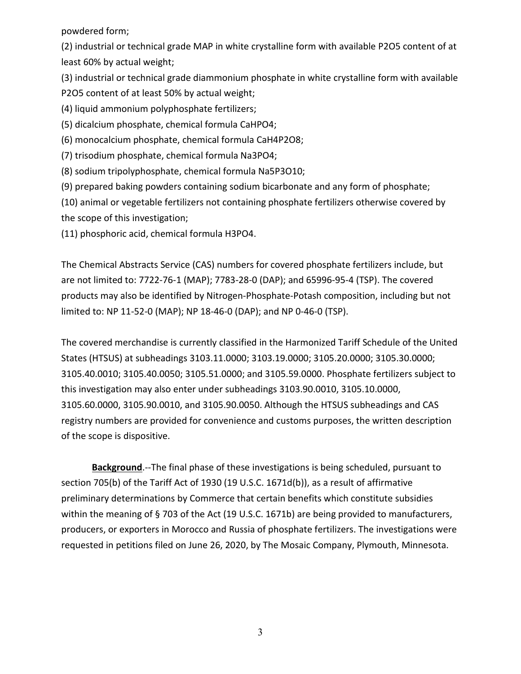powdered form;

(2) industrial or technical grade MAP in white crystalline form with available P2O5 content of at least 60% by actual weight;

(3) industrial or technical grade diammonium phosphate in white crystalline form with available P2O5 content of at least 50% by actual weight;

(4) liquid ammonium polyphosphate fertilizers;

(5) dicalcium phosphate, chemical formula CaHPO4;

(6) monocalcium phosphate, chemical formula CaH4P2O8;

(7) trisodium phosphate, chemical formula Na3PO4;

(8) sodium tripolyphosphate, chemical formula Na5P3O10;

(9) prepared baking powders containing sodium bicarbonate and any form of phosphate;

(10) animal or vegetable fertilizers not containing phosphate fertilizers otherwise covered by the scope of this investigation;

(11) phosphoric acid, chemical formula H3PO4.

The Chemical Abstracts Service (CAS) numbers for covered phosphate fertilizers include, but are not limited to: 7722-76-1 (MAP); 7783-28-0 (DAP); and 65996-95-4 (TSP). The covered products may also be identified by Nitrogen-Phosphate-Potash composition, including but not limited to: NP 11-52-0 (MAP); NP 18-46-0 (DAP); and NP 0-46-0 (TSP).

The covered merchandise is currently classified in the Harmonized Tariff Schedule of the United States (HTSUS) at subheadings 3103.11.0000; 3103.19.0000; 3105.20.0000; 3105.30.0000; 3105.40.0010; 3105.40.0050; 3105.51.0000; and 3105.59.0000. Phosphate fertilizers subject to this investigation may also enter under subheadings 3103.90.0010, 3105.10.0000, 3105.60.0000, 3105.90.0010, and 3105.90.0050. Although the HTSUS subheadings and CAS registry numbers are provided for convenience and customs purposes, the written description of the scope is dispositive.

**Background**.--The final phase of these investigations is being scheduled, pursuant to section 705(b) of the Tariff Act of 1930 (19 U.S.C. 1671d(b)), as a result of affirmative preliminary determinations by Commerce that certain benefits which constitute subsidies within the meaning of §703 of the Act (19 U.S.C. 1671b) are being provided to manufacturers, producers, or exporters in Morocco and Russia of phosphate fertilizers. The investigations were requested in petitions filed on June 26, 2020, by The Mosaic Company, Plymouth, Minnesota.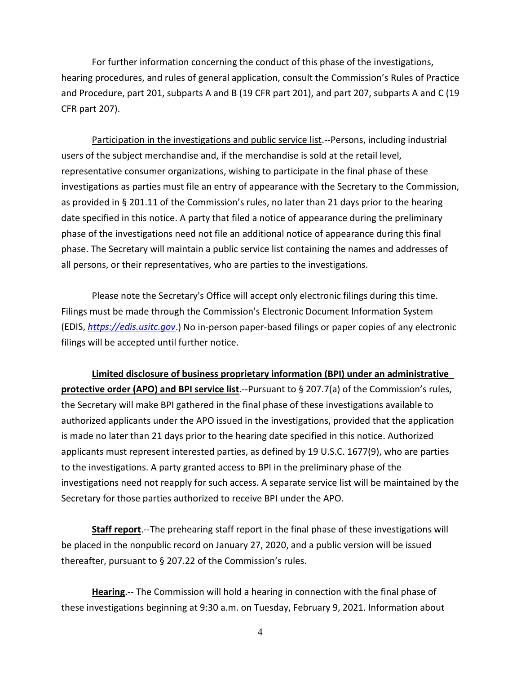For further information concerning the conduct of this phase of the investigations, hearing procedures, and rules of general application, consult the Commission's Rules of Practice and Procedure, part 201, subparts A and B (19 CFR part 201), and part 207, subparts A and C (19 CFR part 207).

Participation in the investigations and public service list.--Persons, including industrial users of the subject merchandise and, if the merchandise is sold at the retail level, representative consumer organizations, wishing to participate in the final phase of these investigations as parties must file an entry of appearance with the Secretary to the Commission, as provided in § 201.11 of the Commission's rules, no later than 21 days prior to the hearing date specified in this notice. A party that filed a notice of appearance during the preliminary phase of the investigations need not file an additional notice of appearance during this final phase. The Secretary will maintain a public service list containing the names and addresses of all persons, or their representatives, who are parties to the investigations.

Please note the Secretary's Office will accept only electronic filings during this time. Filings must be made through the Commission's Electronic Document Information System (EDIS, *[https://edis.usitc.gov](https://edis.usitc.gov/)*.) No in-person paper-based filings or paper copies of any electronic filings will be accepted until further notice.

**Limited disclosure of business proprietary information (BPI) under an administrative protective order (APO) and BPI service list**.--Pursuant to § 207.7(a) of the Commission's rules, the Secretary will make BPI gathered in the final phase of these investigations available to authorized applicants under the APO issued in the investigations, provided that the application is made no later than 21 days prior to the hearing date specified in this notice. Authorized applicants must represent interested parties, as defined by 19 U.S.C. 1677(9), who are parties to the investigations. A party granted access to BPI in the preliminary phase of the investigations need not reapply for such access. A separate service list will be maintained by the Secretary for those parties authorized to receive BPI under the APO.

**Staff report**.--The prehearing staff report in the final phase of these investigations will be placed in the nonpublic record on January 27, 2020, and a public version will be issued thereafter, pursuant to § 207.22 of the Commission's rules.

**Hearing**.-- The Commission will hold a hearing in connection with the final phase of these investigations beginning at 9:30 a.m. on Tuesday, February 9, 2021. Information about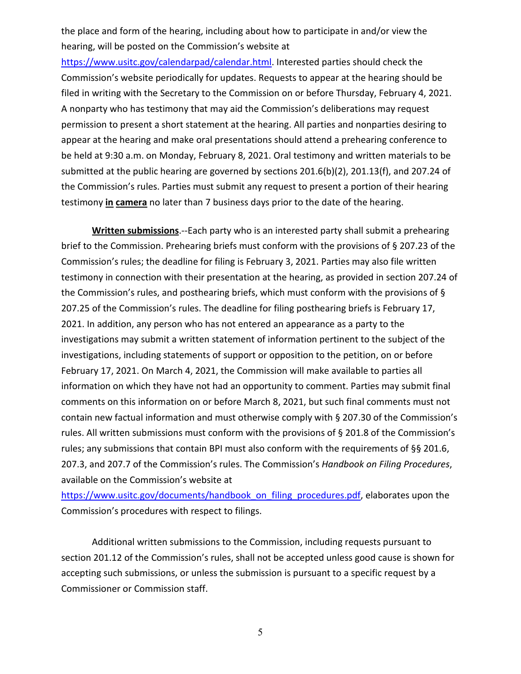the place and form of the hearing, including about how to participate in and/or view the hearing, will be posted on the Commission's website at

[https://www.usitc.gov/calendarpad/calendar.html.](https://www.usitc.gov/calendarpad/calendar.html) Interested parties should check the Commission's website periodically for updates. Requests to appear at the hearing should be filed in writing with the Secretary to the Commission on or before Thursday, February 4, 2021. A nonparty who has testimony that may aid the Commission's deliberations may request permission to present a short statement at the hearing. All parties and nonparties desiring to appear at the hearing and make oral presentations should attend a prehearing conference to be held at 9:30 a.m. on Monday, February 8, 2021. Oral testimony and written materials to be submitted at the public hearing are governed by sections 201.6(b)(2), 201.13(f), and 207.24 of the Commission's rules. Parties must submit any request to present a portion of their hearing testimony **in camera** no later than 7 business days prior to the date of the hearing.

**Written submissions**.--Each party who is an interested party shall submit a prehearing brief to the Commission. Prehearing briefs must conform with the provisions of § 207.23 of the Commission's rules; the deadline for filing is February 3, 2021. Parties may also file written testimony in connection with their presentation at the hearing, as provided in section 207.24 of the Commission's rules, and posthearing briefs, which must conform with the provisions of § 207.25 of the Commission's rules. The deadline for filing posthearing briefs is February 17, 2021. In addition, any person who has not entered an appearance as a party to the investigations may submit a written statement of information pertinent to the subject of the investigations, including statements of support or opposition to the petition, on or before February 17, 2021. On March 4, 2021, the Commission will make available to parties all information on which they have not had an opportunity to comment. Parties may submit final comments on this information on or before March 8, 2021, but such final comments must not contain new factual information and must otherwise comply with § 207.30 of the Commission's rules. All written submissions must conform with the provisions of § 201.8 of the Commission's rules; any submissions that contain BPI must also conform with the requirements of §§ 201.6, 207.3, and 207.7 of the Commission's rules. The Commission's *Handbook on Filing Procedures*, available on the Commission's website at

[https://www.usitc.gov/documents/handbook\\_on\\_filing\\_procedures.pdf,](https://www.usitc.gov/documents/handbook_on_filing_procedures.pdf) elaborates upon the Commission's procedures with respect to filings.

Additional written submissions to the Commission, including requests pursuant to section 201.12 of the Commission's rules, shall not be accepted unless good cause is shown for accepting such submissions, or unless the submission is pursuant to a specific request by a Commissioner or Commission staff.

5